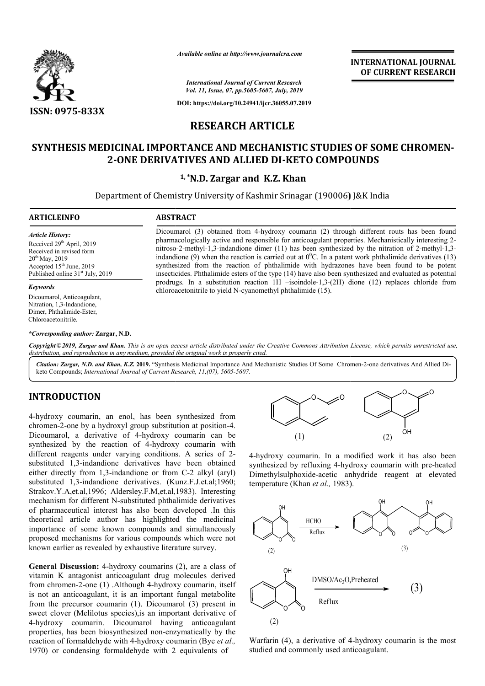

*Available online at http://www.journalcra.com*

**INTERNATIONAL JOURNAL OF CURRENT RESEARCH**

*International Journal of Current Research Vol. 11, Issue, 07, pp.5605-5607, July, 2019*

**DOI: https://doi.org/10.24941/ijcr.36055.07.2019**

# **RESEARCH ARTICLE**

# **SYNTHESIS MEDICINAL IMPORTANCE AND MECHANISTIC STUDIES OF SOME CHROMEN SYNTHESIS MEDICINAL IMPORTANCE STUDIES OF SOME CHROMEN-2-ONE DERIVATIVES AND ALLIED DI-KETO COMPOUNDS**

## **1, \*N.D. Zargar and K.Z. Khan**

Department of Chemistry University of Kashmir Srinagar (190006) J&K India

## **ARTICLEINFO ABSTRACT**

*Article History:* Received 29<sup>th</sup> April, 2019 Received in revised form  $20^{th}$  May,  $2019$ Accepted 15<sup>th</sup> June, 2019 Published online 31<sup>st</sup> July, 2019

#### *Keywords*

Dicoumarol, Anticoagulant, Nitration, 1,3-Indandione, Dimer, Phthalimide-Ester, Chloroacetonitrile.

*\*Corresponding author:* **Zargar, N.D.** 

Dicoumarol (3) obtained from 4 4-hydroxy coumarin (2) through different routs has been found Dicoumarol (3) obtained from 4-hydroxy coumarin (2) through different routs has been found pharmacologically active and responsible for anticoagulant properties. Mechanistically interesting 2nitroso-2-methyl-1,3-indandione dimer (11) has been synthesized by the nitration of 2-methyl-1,3indandione (9) when the reaction is carried out at  $0^0$ C. In a patent work phthalimide derivatives (13) synthesized from the reaction of phthalimide with hydrazones have been found to be potent insecticides. Phthalimide esters of the type (14) have also been synthesized and evaluated as potential insecticides. Phthalimide esters of the type (14) have also been synthesized and evaluated as potential prodrugs. In a substitution reaction 1H -isoindole-1,3-(2H) dione (12) replaces chloride from chloroacetonitrile to yield N-cyanomethyl phthalimide (15).

Copyright©2019, Zargar and Khan. This is an open access article distributed under the Creative Commons Attribution License, which permits unrestricted use, *distribution, and reproduction in any medium, provided the original work is properly cited.*

Citation: Zargar, N.D. and Khan, K.Z. 2019. "Synthesis Medicinal Importance And Mechanistic Studies Of Some Chromen-2-one derivatives And Allied Diketo Compounds; *International Journal of Current Research, 11,(0 11,(07), 5605-5607.*

## **INTRODUCTION**

4-hydroxy coumarin, an enol, has been synthesized from chromen-2-one by a hydroxyl group substitution at position-4. Dicoumarol, a derivative of 4-hydroxy coumarin can be Dicoumarol, a derivative of 4-hydroxy coumarin can be synthesized by the reaction of 4-hydroxy coumarin with different reagents under varying conditions. A series of 2 substituted 1,3-indandione derivatives have been obtained substituted 1,3-indandione derivatives have been obtained either directly from 1,3-indandione or from C-2 alkyl (aryl) substituted 1,3-indandione derivatives. (Kunz.F.J.et.al;1960; Strakov.Y.A,et.al,1996; Aldersley.F.M,et.al,1983). Interesting mechanism for different N-substituted phthalimide derivatives of pharmaceutical interest has also been developed .In this theoretical article author has highlighted the medicinal importance of some known compounds and simultaneously proposed mechanisms for various compounds which were not known earlier as revealed by exhaustive literature survey. 1,3-indandione derivative:<br>A,et.al,1996; Aldersley.F.M<br>1 for different N-substituted

General Discussion: 4-hydroxy coumarins (2), are a class of vitamin K antagonist anticoagulant drug molecules derived from chromen-2-one (1) .Although 4-hydroxy coumarin, itself is not an anticoagulant, it is an important fungal metabolite from the precursor coumarin (1). Dicoumarol (3) present in sweet clover (Melilotus species),is an important derivative of 4-hydroxy coumarin. Dicoumarol having anticoagulant properties, has been biosynthesized non-enzymatically by the reaction of formaldehyde with 4-hydroxy coumarin (Bye et al., 1970) or condensing formaldehyde with 2 equivalents of m chromen-2-one (1) .Although 4-hydroxy coumarin, itself<br>not an anticoagulant, it is an important fungal metabolite<br>m the precursor coumarin (1). Dicoumarol (3) present in<br>et clover (Melilotus species), is an important der



4-hydroxy coumarin. In a modified work it has also been 4-hydroxy coumarin. In a modified work it has also been synthesized by refluxing 4-hydroxy coumarin with pre-heated Dimethylsulphoxide-acetic anhydride reagent at elevated temperature (Khan *et al.*, 1983). temperature (Khan *et al.,* 1983).



Warfarin (4), a derivative of 4 4-hydroxy coumarin is the most studied and commonly used anticoagulant.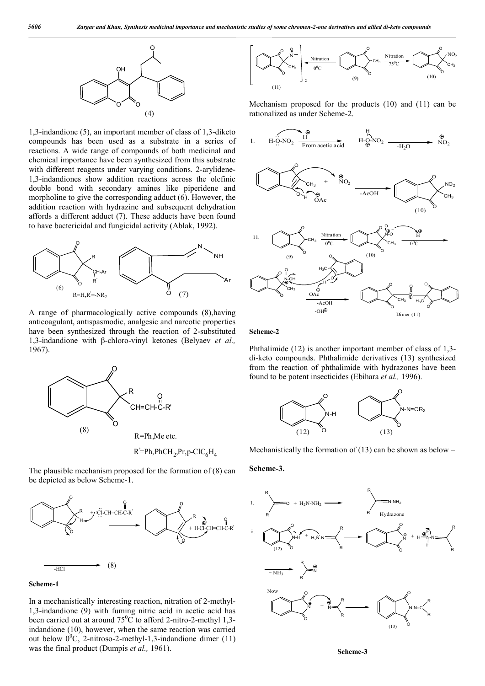

1,3-indandione (5), an important member of class of 1,3-diketo compounds has been used as a substrate in a series of reactions. A wide range of compounds of both medicinal and chemical importance have been synthesized from this substrate with different reagents under varying conditions. 2-arylidene-1,3-indandiones show addition reactions across the olefinic double bond with secondary amines like piperidene and morpholine to give the corresponding adduct (6). However, the addition reaction with hydrazine and subsequent dehydration affords a different adduct (7). These adducts have been found to have bactericidal and fungicidal activity (Ablak, 1992).



A range of pharmacologically active compounds (8),having anticoagulant, antispasmodic, analgesic and narcotic properties have been synthesized through the reaction of 2-substituted 1,3-indandione with β-chloro-vinyl ketones (Belyaev *et al.,*  1967).



 $R'$ =Ph,PhCH<sub>2</sub>,Pr,p-ClC<sub>6</sub>H<sub>4</sub>

The plausible mechanism proposed for the formation of (8) can be depicted as below Scheme-1.



### **Scheme-1**

In a mechanistically interesting reaction, nitration of 2-methyl-1,3-indandione (9) with fuming nitric acid in acetic acid has been carried out at around  $75^{\circ}$ C to afford 2-nitro-2-methyl 1,3indandione (10), however, when the same reaction was carried out below  $0^0C$ , 2-nitroso-2-methyl-1,3-indandione dimer (11) was the final product (Dumpis *et al.,* 1961).



Mechanism proposed for the products (10) and (11) can be rationalized as under Scheme-2.







**Scheme-2**

Phthalimide (12) is another important member of class of 1,3 di-keto compounds. Phthalimide derivatives (13) synthesized from the reaction of phthalimide with hydrazones have been found to be potent insecticides (Ebihara *et al.,* 1996).



Mechanistically the formation of  $(13)$  can be shown as below –

## **Scheme-3.**



**Scheme-3**